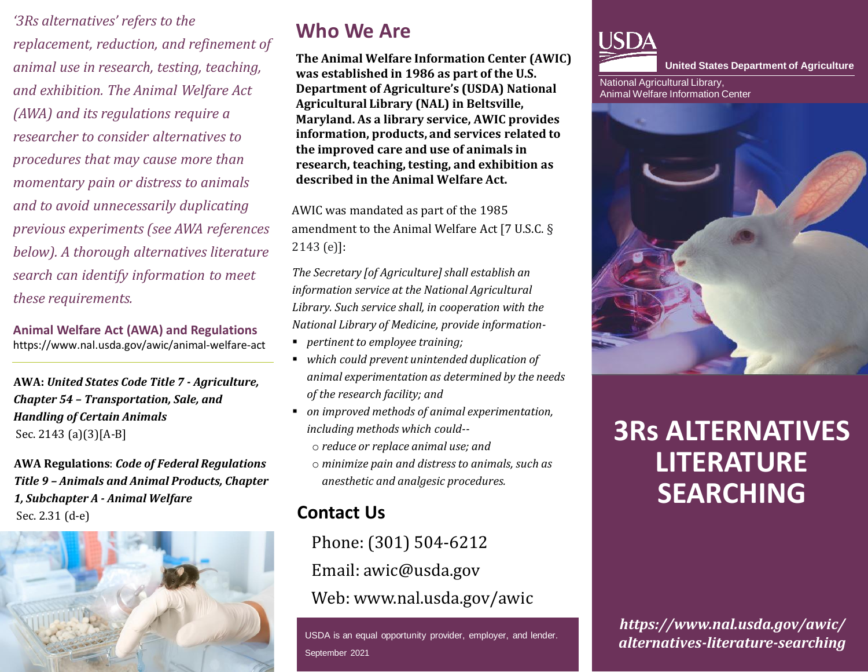*'3Rs alternatives' refers to the replacement, reduction, and refinement of animal use in research, testing, teaching, and exhibition. The Animal Welfare Act (AWA) and its regulations require a researcher to consider alternatives to procedures that may cause more than momentary pain or distress to animals and to avoid unnecessarily duplicating previous experiments (see AWA references below). A thorough alternatives literature search can identify information to meet these requirements.* 

**Animal Welfare Act (AWA) and Regulations** https://www.nal.usda.gov/awic/animal-welfare-act

**AWA:** *United States Code Title 7 - Agriculture, Chapter 54 – Transportation, Sale, and Handling of Certain Animals* Sec. 2143 (a)(3)[A-B]

**AWA Regulations**: *Code of Federal Regulations Title 9 – Animals and Animal Products, Chapter 1, Subchapter A - Animal Welfare* Sec. 2.31 (d-e)



## **Who We Are**

**The Animal Welfare Information Center (AWIC) was established in 1986 as part of the U.S. Department of Agriculture's (USDA) National Agricultural Library (NAL) in Beltsville, Maryland. As a library service, AWIC provides information, products, and services related to the improved care and use of animals in research, teaching, testing, and exhibition as described in the Animal Welfare Act.** 

AWIC was mandated as part of the 1985 amendment to the Animal Welfare Act [7 U.S.C. § 2143 (e)]:

*The Secretary [of Agriculture] shall establish an information service at the National Agricultural Library. Such service shall, in cooperation with the National Library of Medicine, provide information-*

- *pertinent to employee training;*
- *which could prevent unintended duplication of animal experimentation as determined by the needs of the research facility; and*
- *on improved methods of animal experimentation, including methods which could-*
	- o *reduce or replace animal use; and*
	- o *minimize pain and distress to animals, such as anesthetic and analgesic procedures.*

### **Contact Us**

Phone: (301) 504-6212 Email: awic@usda.gov Web: www.nal.usda.gov/awic

USDA is an equal opportunity provider, employer, and lender. September 2021



**United States Department of Agriculture** 

National Agricultural Library, Animal Welfare Information Center



# **3Rs ALTERNATIVES LITERATURE SEARCHING**

*https://www.nal.usda.gov/awic/ alternatives-literature-searching*